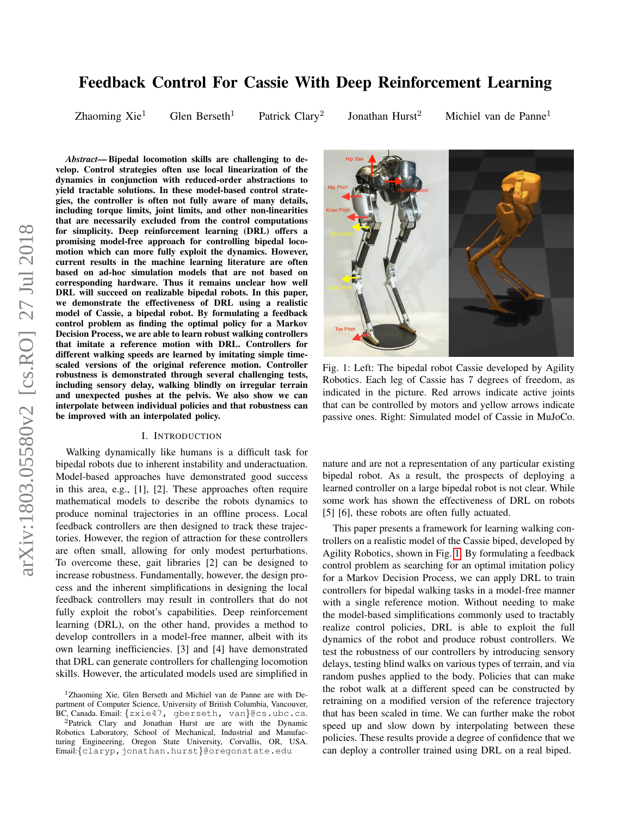# arXiv:1803.05580v2 [cs.RO] 27 Jul 2018 arXiv:1803.05580v2 [cs.RO] 27 Jul 2018

# Feedback Control For Cassie With Deep Reinforcement Learning

Zhaoming  $Xie<sup>1</sup>$  Glen Berseth<sup>1</sup> Patrick Clary<sup>2</sup>

Jonathan Hurst<sup>2</sup> Michiel van de Panne<sup>1</sup>

*Abstract*— Bipedal locomotion skills are challenging to develop. Control strategies often use local linearization of the dynamics in conjunction with reduced-order abstractions to yield tractable solutions. In these model-based control strategies, the controller is often not fully aware of many details, including torque limits, joint limits, and other non-linearities that are necessarily excluded from the control computations for simplicity. Deep reinforcement learning (DRL) offers a promising model-free approach for controlling bipedal locomotion which can more fully exploit the dynamics. However, current results in the machine learning literature are often based on ad-hoc simulation models that are not based on corresponding hardware. Thus it remains unclear how well DRL will succeed on realizable bipedal robots. In this paper, we demonstrate the effectiveness of DRL using a realistic model of Cassie, a bipedal robot. By formulating a feedback control problem as finding the optimal policy for a Markov Decision Process, we are able to learn robust walking controllers that imitate a reference motion with DRL. Controllers for different walking speeds are learned by imitating simple timescaled versions of the original reference motion. Controller robustness is demonstrated through several challenging tests, including sensory delay, walking blindly on irregular terrain and unexpected pushes at the pelvis. We also show we can interpolate between individual policies and that robustness can be improved with an interpolated policy.

#### I. INTRODUCTION

Walking dynamically like humans is a difficult task for bipedal robots due to inherent instability and underactuation. Model-based approaches have demonstrated good success in this area, e.g., [1], [2]. These approaches often require mathematical models to describe the robots dynamics to produce nominal trajectories in an offline process. Local feedback controllers are then designed to track these trajectories. However, the region of attraction for these controllers are often small, allowing for only modest perturbations. To overcome these, gait libraries [2] can be designed to increase robustness. Fundamentally, however, the design process and the inherent simplifications in designing the local feedback controllers may result in controllers that do not fully exploit the robot's capabilities. Deep reinforcement learning (DRL), on the other hand, provides a method to develop controllers in a model-free manner, albeit with its own learning inefficiencies. [3] and [4] have demonstrated that DRL can generate controllers for challenging locomotion skills. However, the articulated models used are simplified in

<span id="page-0-0"></span>

Fig. 1: Left: The bipedal robot Cassie developed by Agility Robotics. Each leg of Cassie has 7 degrees of freedom, as indicated in the picture. Red arrows indicate active joints that can be controlled by motors and yellow arrows indicate passive ones. Right: Simulated model of Cassie in MuJoCo.

nature and are not a representation of any particular existing bipedal robot. As a result, the prospects of deploying a learned controller on a large bipedal robot is not clear. While some work has shown the effectiveness of DRL on robots [5] [6], these robots are often fully actuated.

This paper presents a framework for learning walking controllers on a realistic model of the Cassie biped, developed by Agility Robotics, shown in Fig. [1.](#page-0-0) By formulating a feedback control problem as searching for an optimal imitation policy for a Markov Decision Process, we can apply DRL to train controllers for bipedal walking tasks in a model-free manner with a single reference motion. Without needing to make the model-based simplifications commonly used to tractably realize control policies, DRL is able to exploit the full dynamics of the robot and produce robust controllers. We test the robustness of our controllers by introducing sensory delays, testing blind walks on various types of terrain, and via random pushes applied to the body. Policies that can make the robot walk at a different speed can be constructed by retraining on a modified version of the reference trajectory that has been scaled in time. We can further make the robot speed up and slow down by interpolating between these policies. These results provide a degree of confidence that we can deploy a controller trained using DRL on a real biped.

<sup>1</sup>Zhaoming Xie, Glen Berseth and Michiel van de Panne are with Department of Computer Science, University of British Columbia, Vancouver, BC, Canada. Email: {zxie47, gberseth, van}@cs.ubc.ca.

<sup>&</sup>lt;sup>2</sup>Patrick Clary and Jonathan Hurst are are with the Dynamic Robotics Laboratory, School of Mechanical, Industrial and Manufacturing Engineering, Oregon State University, Corvallis, OR, USA. Email: {claryp, jonathan.hurst}@oregonstate.edu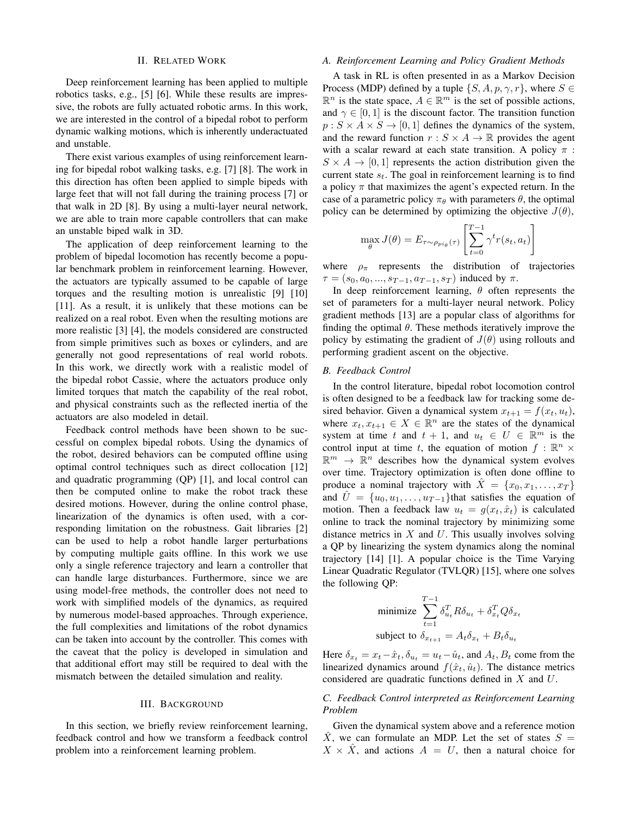#### II. RELATED WORK

Deep reinforcement learning has been applied to multiple robotics tasks, e.g., [5] [6]. While these results are impressive, the robots are fully actuated robotic arms. In this work, we are interested in the control of a bipedal robot to perform dynamic walking motions, which is inherently underactuated and unstable.

There exist various examples of using reinforcement learning for bipedal robot walking tasks, e.g. [7] [8]. The work in this direction has often been applied to simple bipeds with large feet that will not fall during the training process [7] or that walk in 2D [8]. By using a multi-layer neural network, we are able to train more capable controllers that can make an unstable biped walk in 3D.

The application of deep reinforcement learning to the problem of bipedal locomotion has recently become a popular benchmark problem in reinforcement learning. However, the actuators are typically assumed to be capable of large torques and the resulting motion is unrealistic [9] [10] [11]. As a result, it is unlikely that these motions can be realized on a real robot. Even when the resulting motions are more realistic [3] [4], the models considered are constructed from simple primitives such as boxes or cylinders, and are generally not good representations of real world robots. In this work, we directly work with a realistic model of the bipedal robot Cassie, where the actuators produce only limited torques that match the capability of the real robot, and physical constraints such as the reflected inertia of the actuators are also modeled in detail.

Feedback control methods have been shown to be successful on complex bipedal robots. Using the dynamics of the robot, desired behaviors can be computed offline using optimal control techniques such as direct collocation [12] and quadratic programming (QP) [1], and local control can then be computed online to make the robot track these desired motions. However, during the online control phase, linearization of the dynamics is often used, with a corresponding limitation on the robustness. Gait libraries [2] can be used to help a robot handle larger perturbations by computing multiple gaits offline. In this work we use only a single reference trajectory and learn a controller that can handle large disturbances. Furthermore, since we are using model-free methods, the controller does not need to work with simplified models of the dynamics, as required by numerous model-based approaches. Through experience, the full complexities and limitations of the robot dynamics can be taken into account by the controller. This comes with the caveat that the policy is developed in simulation and that additional effort may still be required to deal with the mismatch between the detailed simulation and reality.

#### III. BACKGROUND

In this section, we briefly review reinforcement learning, feedback control and how we transform a feedback control problem into a reinforcement learning problem.

# *A. Reinforcement Learning and Policy Gradient Methods*

A task in RL is often presented in as a Markov Decision Process (MDP) defined by a tuple  $\{S, A, p, \gamma, r\}$ , where  $S \in$  $\mathbb{R}^n$  is the state space,  $A \in \mathbb{R}^m$  is the set of possible actions, and  $\gamma \in [0, 1]$  is the discount factor. The transition function  $p: S \times A \times S \rightarrow [0, 1]$  defines the dynamics of the system, and the reward function  $r : S \times A \rightarrow \mathbb{R}$  provides the agent with a scalar reward at each state transition. A policy  $\pi$ :  $S \times A \rightarrow [0, 1]$  represents the action distribution given the current state  $s_t$ . The goal in reinforcement learning is to find a policy  $\pi$  that maximizes the agent's expected return. In the case of a parametric policy  $\pi_{\theta}$  with parameters  $\theta$ , the optimal policy can be determined by optimizing the objective  $J(\theta)$ ,

$$
\max_{\theta} J(\theta) = E_{\tau \sim \rho_{pi_{\theta}}(\tau)} \left[ \sum_{t=0}^{T-1} \gamma^t r(s_t, a_t) \right]
$$

where  $\rho_{\pi}$  represents the distribution of trajectories  $\tau = (s_0, a_0, ..., s_{T-1}, a_{T-1}, s_T)$  induced by  $\pi$ .

In deep reinforcement learning,  $\theta$  often represents the set of parameters for a multi-layer neural network. Policy gradient methods [13] are a popular class of algorithms for finding the optimal  $\theta$ . These methods iteratively improve the policy by estimating the gradient of  $J(\theta)$  using rollouts and performing gradient ascent on the objective.

#### *B. Feedback Control*

In the control literature, bipedal robot locomotion control is often designed to be a feedback law for tracking some desired behavior. Given a dynamical system  $x_{t+1} = f(x_t, u_t)$ , where  $x_t, x_{t+1} \in X \in \mathbb{R}^n$  are the states of the dynamical system at time t and  $t + 1$ , and  $u_t \in U \in \mathbb{R}^m$  is the control input at time t, the equation of motion  $f : \mathbb{R}^n \times$  $\mathbb{R}^m \to \mathbb{R}^n$  describes how the dynamical system evolves over time. Trajectory optimization is often done offline to produce a nominal trajectory with  $\hat{X} = \{x_0, x_1, \ldots, x_T\}$ and  $U = \{u_0, u_1, \ldots, u_{T-1}\}$ that satisfies the equation of motion. Then a feedback law  $u_t = g(x_t, \hat{x}_t)$  is calculated online to track the nominal trajectory by minimizing some distance metrics in  $X$  and  $U$ . This usually involves solving a QP by linearizing the system dynamics along the nominal trajectory [14] [1]. A popular choice is the Time Varying Linear Quadratic Regulator (TVLQR) [15], where one solves the following QP:

minimize 
$$
\sum_{t=1}^{T-1} \delta_{u_t}^T R \delta_{u_t} + \delta_{x_t}^T Q \delta_{x_t}
$$
  
subject to 
$$
\delta_{x_{t+1}} = A_t \delta_{x_t} + B_t \delta_{u_t}
$$

Here  $\delta_{x_t} = x_t - \hat{x}_t$ ,  $\delta_{u_t} = u_t - \hat{u}_t$ , and  $A_t$ ,  $B_t$  come from the linearized dynamics around  $f(\hat{x}_t, \hat{u}_t)$ . The distance metrics considered are quadratic functions defined in X and U.

# *C. Feedback Control interpreted as Reinforcement Learning Problem*

Given the dynamical system above and a reference motion  $\hat{X}$ , we can formulate an MDP. Let the set of states  $S =$  $X \times \hat{X}$ , and actions  $A = U$ , then a natural choice for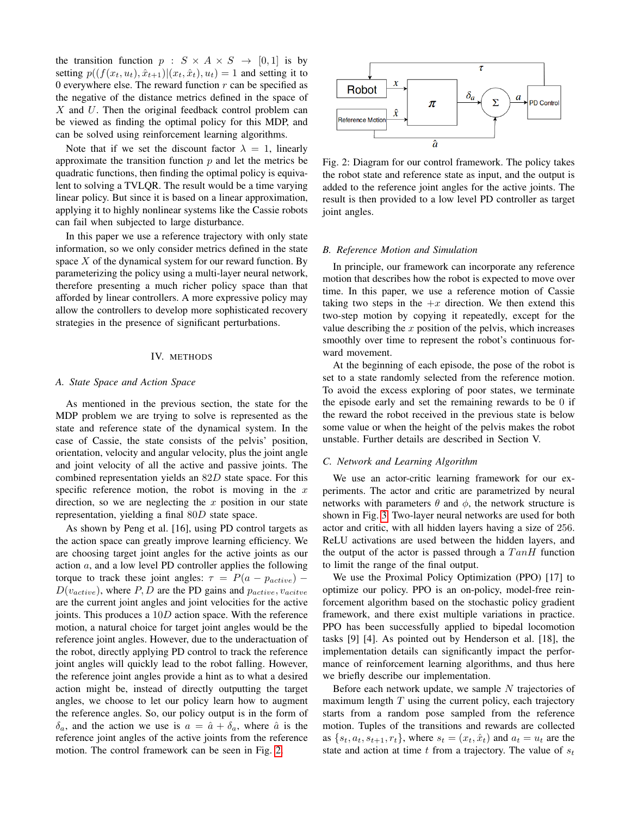the transition function  $p : S \times A \times S \rightarrow [0,1]$  is by setting  $p((f(x_t, u_t), \hat{x}_{t+1})|(x_t, \hat{x}_t), u_t) = 1$  and setting it to 0 everywhere else. The reward function  $r$  can be specified as the negative of the distance metrics defined in the space of  $X$  and  $U$ . Then the original feedback control problem can be viewed as finding the optimal policy for this MDP, and can be solved using reinforcement learning algorithms.

Note that if we set the discount factor  $\lambda = 1$ , linearly approximate the transition function  $p$  and let the metrics be quadratic functions, then finding the optimal policy is equivalent to solving a TVLQR. The result would be a time varying linear policy. But since it is based on a linear approximation, applying it to highly nonlinear systems like the Cassie robots can fail when subjected to large disturbance.

In this paper we use a reference trajectory with only state information, so we only consider metrics defined in the state space  $X$  of the dynamical system for our reward function. By parameterizing the policy using a multi-layer neural network, therefore presenting a much richer policy space than that afforded by linear controllers. A more expressive policy may allow the controllers to develop more sophisticated recovery strategies in the presence of significant perturbations.

#### IV. METHODS

#### *A. State Space and Action Space*

As mentioned in the previous section, the state for the MDP problem we are trying to solve is represented as the state and reference state of the dynamical system. In the case of Cassie, the state consists of the pelvis' position, orientation, velocity and angular velocity, plus the joint angle and joint velocity of all the active and passive joints. The combined representation yields an 82D state space. For this specific reference motion, the robot is moving in the  $x$ direction, so we are neglecting the  $x$  position in our state representation, yielding a final 80D state space.

As shown by Peng et al. [16], using PD control targets as the action space can greatly improve learning efficiency. We are choosing target joint angles for the active joints as our action  $a$ , and a low level PD controller applies the following torque to track these joint angles:  $\tau = P(a - p_{active})$  –  $D(v_{active})$ , where P, D are the PD gains and  $p_{active}$ ,  $v_{active}$ are the current joint angles and joint velocities for the active joints. This produces a 10D action space. With the reference motion, a natural choice for target joint angles would be the reference joint angles. However, due to the underactuation of the robot, directly applying PD control to track the reference joint angles will quickly lead to the robot falling. However, the reference joint angles provide a hint as to what a desired action might be, instead of directly outputting the target angles, we choose to let our policy learn how to augment the reference angles. So, our policy output is in the form of  $\delta_a$ , and the action we use is  $a = \hat{a} + \delta_a$ , where  $\hat{a}$  is the reference joint angles of the active joints from the reference motion. The control framework can be seen in Fig. [2.](#page-2-0)

<span id="page-2-0"></span>

Fig. 2: Diagram for our control framework. The policy takes the robot state and reference state as input, and the output is added to the reference joint angles for the active joints. The result is then provided to a low level PD controller as target joint angles.

#### *B. Reference Motion and Simulation*

In principle, our framework can incorporate any reference motion that describes how the robot is expected to move over time. In this paper, we use a reference motion of Cassie taking two steps in the  $+x$  direction. We then extend this two-step motion by copying it repeatedly, except for the value describing the  $x$  position of the pelvis, which increases smoothly over time to represent the robot's continuous forward movement.

At the beginning of each episode, the pose of the robot is set to a state randomly selected from the reference motion. To avoid the excess exploring of poor states, we terminate the episode early and set the remaining rewards to be 0 if the reward the robot received in the previous state is below some value or when the height of the pelvis makes the robot unstable. Further details are described in Section V.

#### <span id="page-2-1"></span>*C. Network and Learning Algorithm*

We use an actor-critic learning framework for our experiments. The actor and critic are parametrized by neural networks with parameters  $\theta$  and  $\phi$ , the network structure is shown in Fig. [3.](#page-3-0) Two-layer neural networks are used for both actor and critic, with all hidden layers having a size of 256. ReLU activations are used between the hidden layers, and the output of the actor is passed through a  $Tan H$  function to limit the range of the final output.

We use the Proximal Policy Optimization (PPO) [17] to optimize our policy. PPO is an on-policy, model-free reinforcement algorithm based on the stochastic policy gradient framework, and there exist multiple variations in practice. PPO has been successfully applied to bipedal locomotion tasks [9] [4]. As pointed out by Henderson et al. [18], the implementation details can significantly impact the performance of reinforcement learning algorithms, and thus here we briefly describe our implementation.

Before each network update, we sample  $N$  trajectories of maximum length  $T$  using the current policy, each trajectory starts from a random pose sampled from the reference motion. Tuples of the transitions and rewards are collected as  $\{s_t, a_t, s_{t+1}, r_t\}$ , where  $s_t = (x_t, \hat{x}_t)$  and  $a_t = u_t$  are the state and action at time t from a trajectory. The value of  $s_t$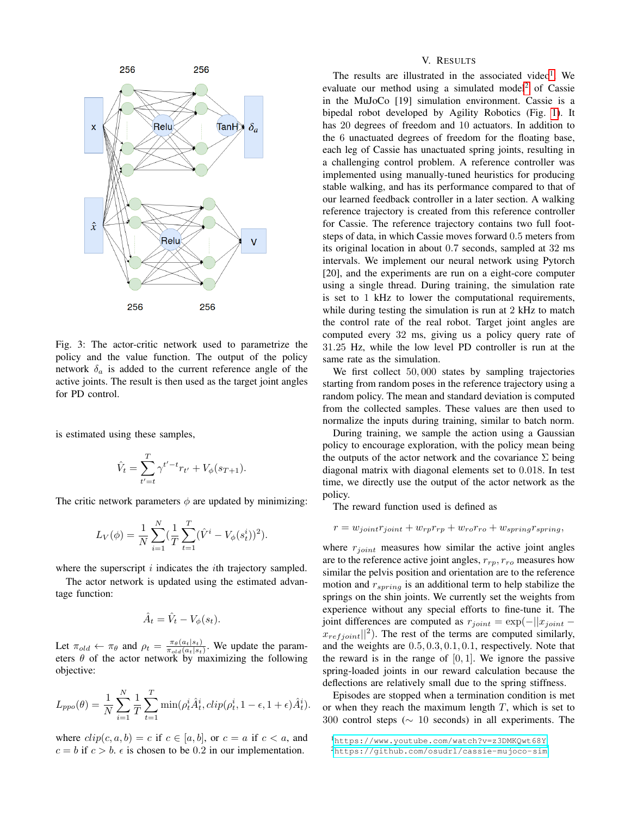<span id="page-3-0"></span>

Fig. 3: The actor-critic network used to parametrize the policy and the value function. The output of the policy network  $\delta_a$  is added to the current reference angle of the active joints. The result is then used as the target joint angles for PD control.

is estimated using these samples,

$$
\hat{V}_t = \sum_{t'=t}^{T} \gamma^{t'-t} r_{t'} + V_{\phi}(s_{T+1}).
$$

The critic network parameters  $\phi$  are updated by minimizing:

$$
L_V(\phi) = \frac{1}{N} \sum_{i=1}^{N} \left(\frac{1}{T} \sum_{t=1}^{T} (\hat{V}^i - V_{\phi}(s_t^i))^2\right).
$$

where the superscript  $i$  indicates the  $i$ th trajectory sampled.

The actor network is updated using the estimated advantage function:

$$
\hat{A}_t = \hat{V}_t - V_\phi(s_t).
$$

Let  $\pi_{old} \leftarrow \pi_{\theta}$  and  $\rho_t = \frac{\pi_{\theta}(a_t|s_t)}{\pi_{old}(a_t|s_t)}$  $\frac{\pi_{\theta}(a_t|s_t)}{\pi_{old}(a_t|s_t)}$ . We update the parameters  $\theta$  of the actor network by maximizing the following objective:

$$
L_{ppo}(\theta) = \frac{1}{N} \sum_{i=1}^{N} \frac{1}{T} \sum_{t=1}^{T} \min(\rho_t^i \hat{A}_t^i, clip(\rho_t^i, 1 - \epsilon, 1 + \epsilon) \hat{A}_t^i).
$$

where  $clip(c, a, b) = c$  if  $c \in [a, b]$ , or  $c = a$  if  $c < a$ , and  $c = b$  if  $c > b$ .  $\epsilon$  is chosen to be 0.2 in our implementation.

## V. RESULTS

The results are illustrated in the associated video<sup>[1](#page-3-1)</sup>. We evaluate our method using a simulated model<sup>[2](#page-3-2)</sup> of Cassie in the MuJoCo [19] simulation environment. Cassie is a bipedal robot developed by Agility Robotics (Fig. [1\)](#page-0-0). It has 20 degrees of freedom and 10 actuators. In addition to the 6 unactuated degrees of freedom for the floating base, each leg of Cassie has unactuated spring joints, resulting in a challenging control problem. A reference controller was implemented using manually-tuned heuristics for producing stable walking, and has its performance compared to that of our learned feedback controller in a later section. A walking reference trajectory is created from this reference controller for Cassie. The reference trajectory contains two full footsteps of data, in which Cassie moves forward 0.5 meters from its original location in about 0.7 seconds, sampled at 32 ms intervals. We implement our neural network using Pytorch [20], and the experiments are run on a eight-core computer using a single thread. During training, the simulation rate is set to 1 kHz to lower the computational requirements, while during testing the simulation is run at 2 kHz to match the control rate of the real robot. Target joint angles are computed every 32 ms, giving us a policy query rate of 31.25 Hz, while the low level PD controller is run at the same rate as the simulation.

We first collect 50,000 states by sampling trajectories starting from random poses in the reference trajectory using a random policy. The mean and standard deviation is computed from the collected samples. These values are then used to normalize the inputs during training, similar to batch norm.

During training, we sample the action using a Gaussian policy to encourage exploration, with the policy mean being the outputs of the actor network and the covariance  $\Sigma$  being diagonal matrix with diagonal elements set to 0.018. In test time, we directly use the output of the actor network as the policy.

The reward function used is defined as

$$
r = w_{joint}r_{joint} + w_{rp}r_{rp} + w_{ro}r_{ro} + w_{spring}r_{spring},
$$

where  $r_{joint}$  measures how similar the active joint angles are to the reference active joint angles,  $r_{rp}$ ,  $r_{ro}$  measures how similar the pelvis position and orientation are to the reference motion and  $r_{spring}$  is an additional term to help stabilize the springs on the shin joints. We currently set the weights from experience without any special efforts to fine-tune it. The joint differences are computed as  $r_{joint} = \exp(-||x_{joint}$  $x_{refjoint}$ ||<sup>2</sup>). The rest of the terms are computed similarly, and the weights are 0.5, 0.3, 0.1, 0.1, respectively. Note that the reward is in the range of  $[0, 1]$ . We ignore the passive spring-loaded joints in our reward calculation because the deflections are relatively small due to the spring stiffness.

Episodes are stopped when a termination condition is met or when they reach the maximum length  $T$ , which is set to 300 control steps ( $\sim$  10 seconds) in all experiments. The

<span id="page-3-2"></span><span id="page-3-1"></span><sup>1</sup><https://www.youtube.com/watch?v=z3DMKQwt68Y> <sup>2</sup><https://github.com/osudrl/cassie-mujoco-sim>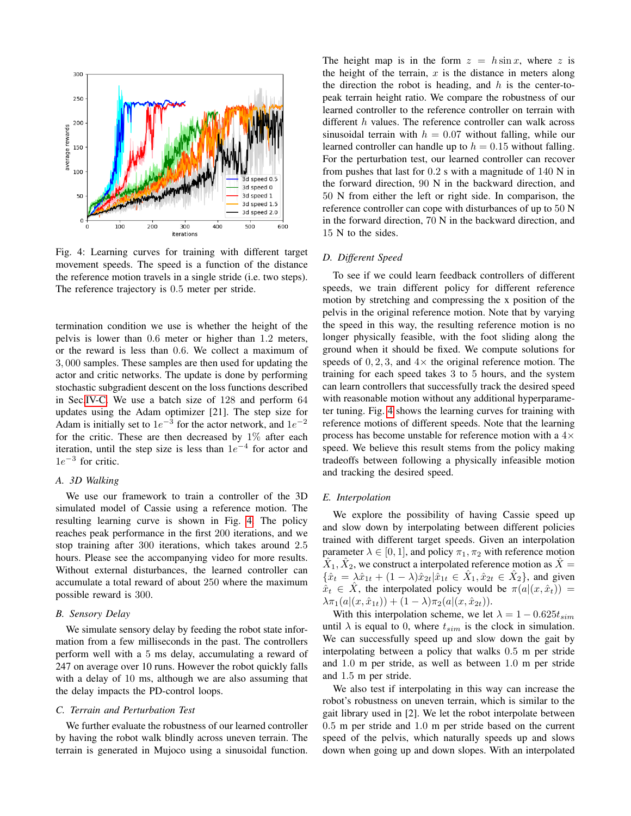<span id="page-4-0"></span>

Fig. 4: Learning curves for training with different target movement speeds. The speed is a function of the distance the reference motion travels in a single stride (i.e. two steps). The reference trajectory is 0.5 meter per stride.

termination condition we use is whether the height of the pelvis is lower than 0.6 meter or higher than 1.2 meters, or the reward is less than 0.6. We collect a maximum of 3, 000 samples. These samples are then used for updating the actor and critic networks. The update is done by performing stochastic subgradient descent on the loss functions described in Sec[.IV-C.](#page-2-1) We use a batch size of 128 and perform 64 updates using the Adam optimizer [21]. The step size for Adam is initially set to  $1e^{-3}$  for the actor network, and  $1e^{-2}$ for the critic. These are then decreased by  $1\%$  after each iteration, until the step size is less than  $1e^{-4}$  for actor and  $1e^{-3}$  for critic.

# *A. 3D Walking*

We use our framework to train a controller of the 3D simulated model of Cassie using a reference motion. The resulting learning curve is shown in Fig. [4.](#page-4-0) The policy reaches peak performance in the first 200 iterations, and we stop training after 300 iterations, which takes around 2.5 hours. Please see the accompanying video for more results. Without external disturbances, the learned controller can accumulate a total reward of about 250 where the maximum possible reward is 300.

#### *B. Sensory Delay*

We simulate sensory delay by feeding the robot state information from a few milliseconds in the past. The controllers perform well with a 5 ms delay, accumulating a reward of 247 on average over 10 runs. However the robot quickly falls with a delay of 10 ms, although we are also assuming that the delay impacts the PD-control loops.

## *C. Terrain and Perturbation Test*

We further evaluate the robustness of our learned controller by having the robot walk blindly across uneven terrain. The terrain is generated in Mujoco using a sinusoidal function.

The height map is in the form  $z = h \sin x$ , where z is the height of the terrain,  $x$  is the distance in meters along the direction the robot is heading, and  $h$  is the center-topeak terrain height ratio. We compare the robustness of our learned controller to the reference controller on terrain with different h values. The reference controller can walk across sinusoidal terrain with  $h = 0.07$  without falling, while our learned controller can handle up to  $h = 0.15$  without falling. For the perturbation test, our learned controller can recover from pushes that last for 0.2 s with a magnitude of 140 N in the forward direction, 90 N in the backward direction, and 50 N from either the left or right side. In comparison, the reference controller can cope with disturbances of up to 50 N in the forward direction, 70 N in the backward direction, and 15 N to the sides.

# *D. Different Speed*

To see if we could learn feedback controllers of different speeds, we train different policy for different reference motion by stretching and compressing the x position of the pelvis in the original reference motion. Note that by varying the speed in this way, the resulting reference motion is no longer physically feasible, with the foot sliding along the ground when it should be fixed. We compute solutions for speeds of  $0, 2, 3$ , and  $4 \times$  the original reference motion. The training for each speed takes 3 to 5 hours, and the system can learn controllers that successfully track the desired speed with reasonable motion without any additional hyperparameter tuning. Fig. [4](#page-4-0) shows the learning curves for training with reference motions of different speeds. Note that the learning process has become unstable for reference motion with a  $4\times$ speed. We believe this result stems from the policy making tradeoffs between following a physically infeasible motion and tracking the desired speed.

# *E. Interpolation*

We explore the possibility of having Cassie speed up and slow down by interpolating between different policies trained with different target speeds. Given an interpolation parameter  $\lambda \in [0, 1]$ , and policy  $\pi_1, \pi_2$  with reference motion  $\hat{X}_1, \hat{X}_2$ , we construct a interpolated reference motion as  $\hat{X} =$  $\{\hat{x}_t = \lambda \hat{x}_{1t} + (1 - \lambda)\hat{x}_{2t} | \hat{x}_{1t} \in \hat{X}_1, \hat{x}_{2t} \in \hat{X}_2\}$ , and given  $\hat{x}_t \in \hat{X}$ , the interpolated policy would be  $\pi(a|(x, \hat{x}_t))$  =  $\lambda \pi_1(a|(x, \hat{x}_{1t})) + (1 - \lambda) \pi_2(a|(x, \hat{x}_{2t})).$ 

With this interpolation scheme, we let  $\lambda = 1 - 0.625t_{sim}$ until  $\lambda$  is equal to 0, where  $t_{sim}$  is the clock in simulation. We can successfully speed up and slow down the gait by interpolating between a policy that walks 0.5 m per stride and 1.0 m per stride, as well as between 1.0 m per stride and 1.5 m per stride.

We also test if interpolating in this way can increase the robot's robustness on uneven terrain, which is similar to the gait library used in [2]. We let the robot interpolate between 0.5 m per stride and 1.0 m per stride based on the current speed of the pelvis, which naturally speeds up and slows down when going up and down slopes. With an interpolated